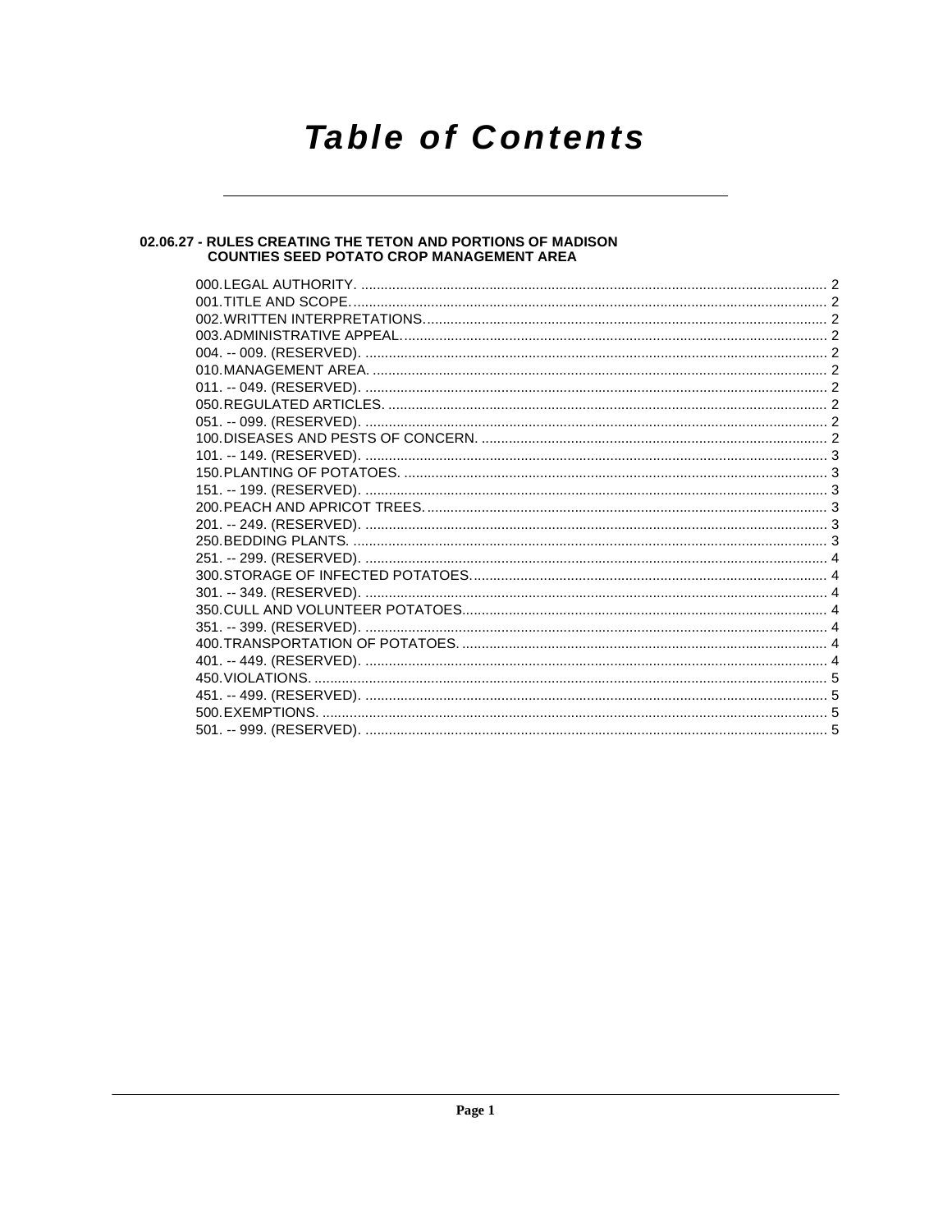# **Table of Contents**

## 02.06.27 - RULES CREATING THE TETON AND PORTIONS OF MADISON<br>COUNTIES SEED POTATO CROP MANAGEMENT AREA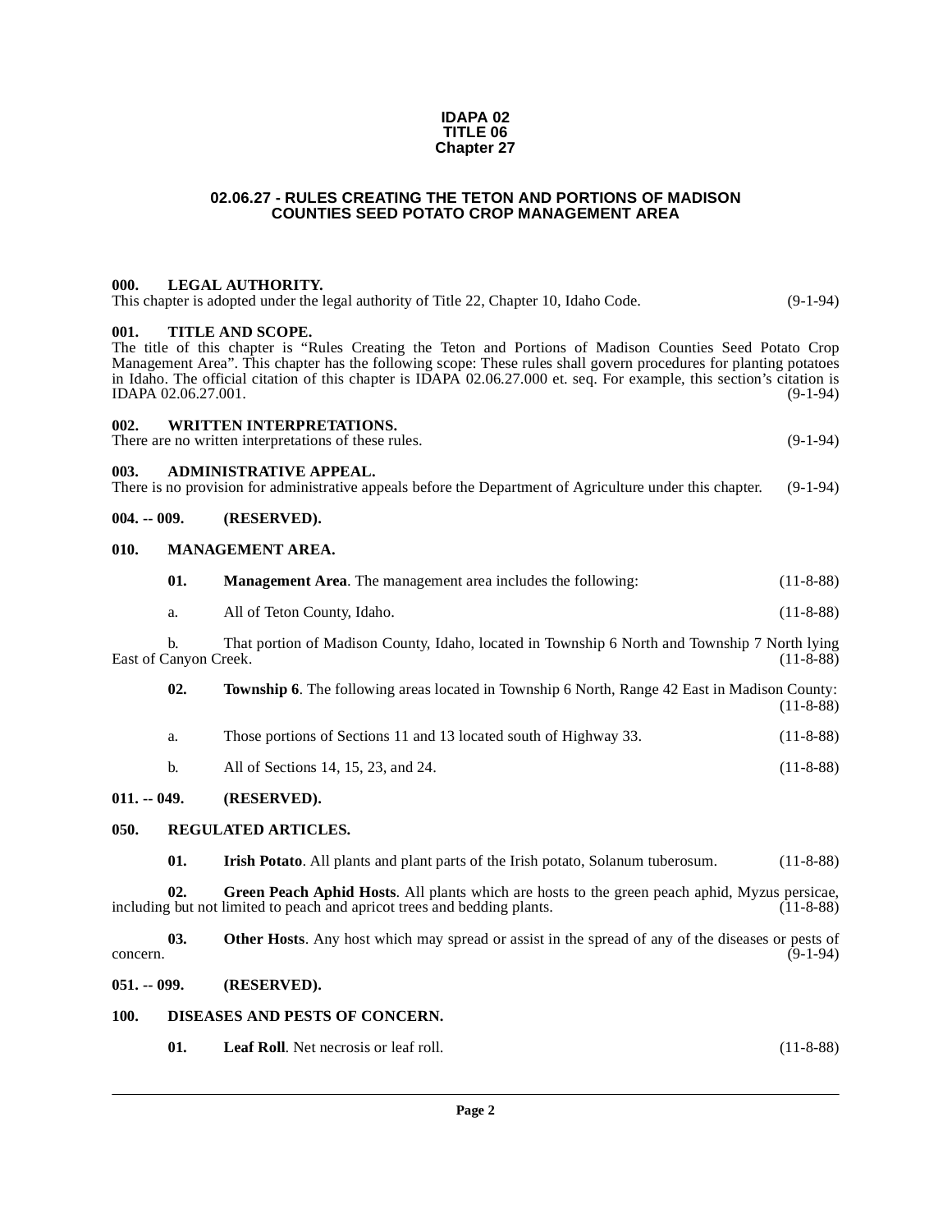#### **IDAPA 02 TITLE 06 Chapter 27**

#### **02.06.27 - RULES CREATING THE TETON AND PORTIONS OF MADISON COUNTIES SEED POTATO CROP MANAGEMENT AREA**

## <span id="page-1-1"></span><span id="page-1-0"></span>**000. LEGAL AUTHORITY.**

| This chapter is adopted under the legal authority of Title 22, Chapter 10, Idaho Code.                                 | $(9-1-94)$ |
|------------------------------------------------------------------------------------------------------------------------|------------|
| 001.<br>TITLE AND SCOPE.                                                                                               |            |
| The title of this chapter is "Rules Creating the Teton and Portions of Madison Counties Seed Potato Crop               |            |
| Management Area". This chapter has the following scope: These rules shall govern procedures for planting potatoes      |            |
| in Idaho. The official citation of this chapter is IDAPA 02.06.27.000 et. seq. For example, this section's citation is |            |

<span id="page-1-2"></span>in Idaho. The official citation of this chapter is IDAPA 02.06.27.000 et. seq. For example, this section's citation is IDAPA 02.06.27.001. (9-1-94)

## <span id="page-1-3"></span>**002. WRITTEN INTERPRETATIONS.**

There are no written interpretations of these rules. (9-1-94)

#### <span id="page-1-4"></span>**003. ADMINISTRATIVE APPEAL.**

There is no provision for administrative appeals before the Department of Agriculture under this chapter. (9-1-94)

#### <span id="page-1-5"></span>**004. -- 009. (RESERVED).**

#### <span id="page-1-6"></span>**010. MANAGEMENT AREA.**

<span id="page-1-15"></span>

| -01. | <b>Management Area.</b> The management area includes the following: | $(11-8-88)$ |
|------|---------------------------------------------------------------------|-------------|
|------|---------------------------------------------------------------------|-------------|

a. All of Teton County, Idaho. (11-8-88)

b. That portion of Madison County, Idaho, located in Township 6 North and Township 7 North lying East of Canyon Creek.

<span id="page-1-18"></span>

| 02. | <b>Township 6.</b> The following areas located in Township 6 North, Range 42 East in Madison County: |  |             |
|-----|------------------------------------------------------------------------------------------------------|--|-------------|
|     |                                                                                                      |  | $(11-8-88)$ |

| а. |  | Those portions of Sections 11 and 13 located south of Highway 33. | $(11-8-88)$ |
|----|--|-------------------------------------------------------------------|-------------|
|----|--|-------------------------------------------------------------------|-------------|

b. All of Sections 14, 15, 23, and 24. (11-8-88)

#### <span id="page-1-7"></span>**011. -- 049. (RESERVED).**

#### <span id="page-1-8"></span>**050. REGULATED ARTICLES.**

<span id="page-1-17"></span><span id="page-1-16"></span><span id="page-1-13"></span><span id="page-1-12"></span>**01. Irish Potato**. All plants and plant parts of the Irish potato, Solanum tuberosum. (11-8-88)

**02.** Green Peach Aphid Hosts. All plants which are hosts to the green peach aphid, Myzus persicae, vector of limited to peach and apricot trees and bedding plants. (11-8-88) including but not limited to peach and apricot trees and bedding plants.

**03. Other Hosts**. Any host which may spread or assist in the spread of any of the diseases or pests of (9-1-94) concern.  $(9-1-94)$ 

#### <span id="page-1-9"></span>**051. -- 099. (RESERVED).**

#### <span id="page-1-10"></span>**100. DISEASES AND PESTS OF CONCERN.**

<span id="page-1-14"></span><span id="page-1-11"></span>**01. Leaf Roll**. Net necrosis or leaf roll. (11-8-88)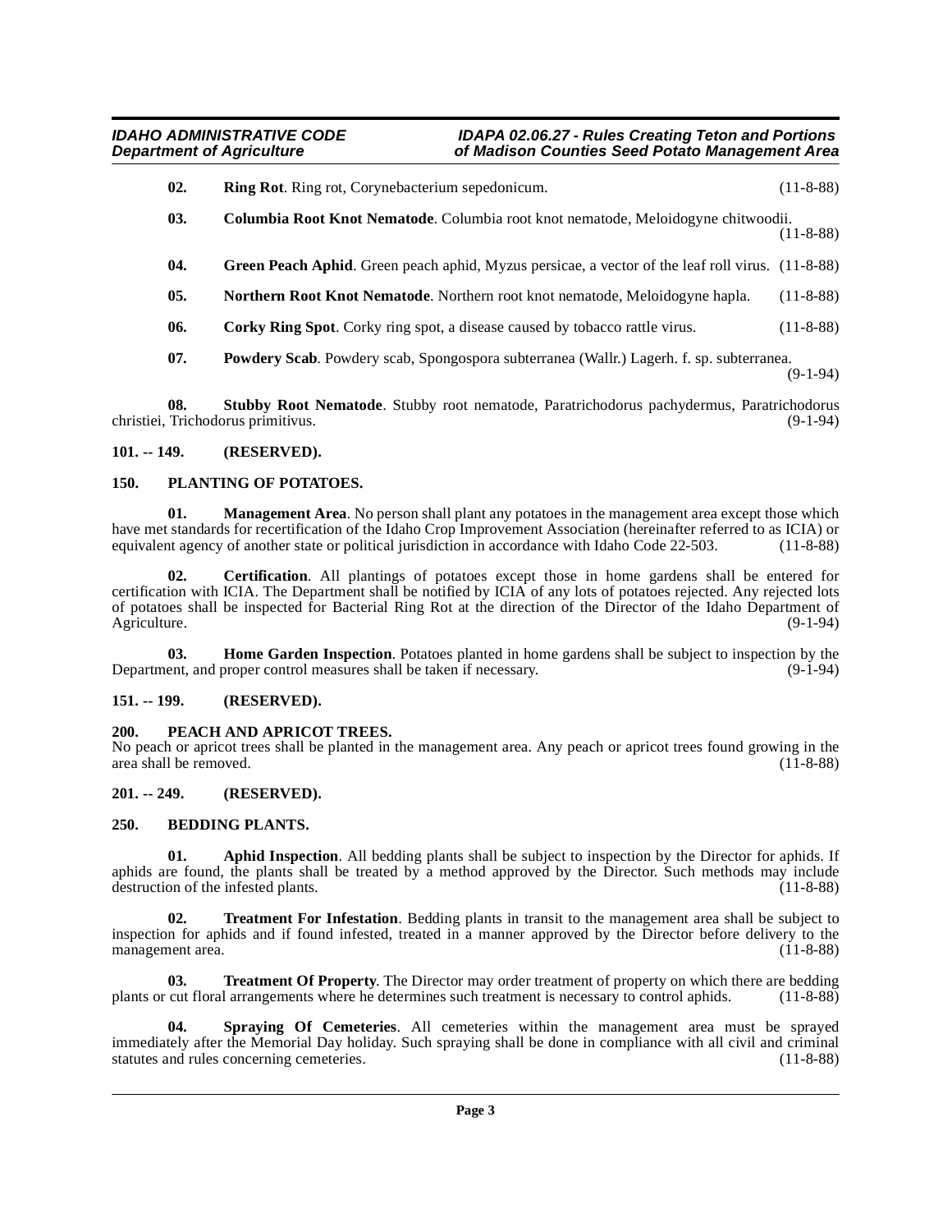- <span id="page-2-18"></span>**02. Ring Rot**. Ring rot, Corynebacterium sepedonicum. (11-8-88)
- <span id="page-2-9"></span>**03. Columbia Root Knot Nematode**. Columbia root knot nematode, Meloidogyne chitwoodii. (11-8-88)
- <span id="page-2-11"></span>**04.** Green Peach Aphid. Green peach aphid, Myzus persicae, a vector of the leaf roll virus. (11-8-88)
- <span id="page-2-14"></span>**05. Northern Root Knot Nematode**. Northern root knot nematode, Meloidogyne hapla. (11-8-88)
- <span id="page-2-10"></span>**06.** Corky Ring Spot. Corky ring spot, a disease caused by tobacco rattle virus. (11-8-88)
- <span id="page-2-20"></span><span id="page-2-17"></span>**07. Powdery Scab**. Powdery scab, Spongospora subterranea (Wallr.) Lagerh. f. sp. subterranea. (9-1-94)

**08. Stubby Root Nematode**. Stubby root nematode, Paratrichodorus pachydermus, Paratrichodorus Trichodorus primitivus. (9-1-94) christiei, Trichodorus primitivus.

#### <span id="page-2-0"></span>**101. -- 149. (RESERVED).**

#### <span id="page-2-16"></span><span id="page-2-1"></span>**150. PLANTING OF POTATOES.**

<span id="page-2-13"></span>**01.** Management Area. No person shall plant any potatoes in the management area except those which have met standards for recertification of the Idaho Crop Improvement Association (hereinafter referred to as ICIA) or equivalent agency of another state or political jurisdiction in accordance with Idaho Code 22-503. (11-8 equivalent agency of another state or political jurisdiction in accordance with Idaho Code 22-503.

<span id="page-2-8"></span>**02. Certification**. All plantings of potatoes except those in home gardens shall be entered for certification with ICIA. The Department shall be notified by ICIA of any lots of potatoes rejected. Any rejected lots of potatoes shall be inspected for Bacterial Ring Rot at the direction of the Director of the Idaho Department of Agriculture. (9-1-94)

<span id="page-2-12"></span>**03. Home Garden Inspection**. Potatoes planted in home gardens shall be subject to inspection by the Department, and proper control measures shall be taken if necessary. (9-1-94)

#### <span id="page-2-2"></span>**151. -- 199. (RESERVED).**

#### <span id="page-2-15"></span><span id="page-2-3"></span>**200. PEACH AND APRICOT TREES.**

No peach or apricot trees shall be planted in the management area. Any peach or apricot trees found growing in the area shall be removed. (11-8-88)

#### <span id="page-2-4"></span>**201. -- 249. (RESERVED).**

#### <span id="page-2-7"></span><span id="page-2-5"></span>**250. BEDDING PLANTS.**

<span id="page-2-6"></span>**01. Aphid Inspection**. All bedding plants shall be subject to inspection by the Director for aphids. If aphids are found, the plants shall be treated by a method approved by the Director. Such methods may include destruction of the infested plants.  $(11-8-88)$ destruction of the infested plants.

<span id="page-2-21"></span>**Treatment For Infestation**. Bedding plants in transit to the management area shall be subject to inspection for aphids and if found infested, treated in a manner approved by the Director before delivery to the management area.

<span id="page-2-22"></span>**03. Treatment Of Property**. The Director may order treatment of property on which there are bedding plants or cut floral arrangements where he determines such treatment is necessary to control aphids. (11-8-88)

<span id="page-2-19"></span>**04. Spraying Of Cemeteries**. All cemeteries within the management area must be sprayed immediately after the Memorial Day holiday. Such spraying shall be done in compliance with all civil and criminal statutes and rules concerning cemeteries. (11-8-88) statutes and rules concerning cemeteries.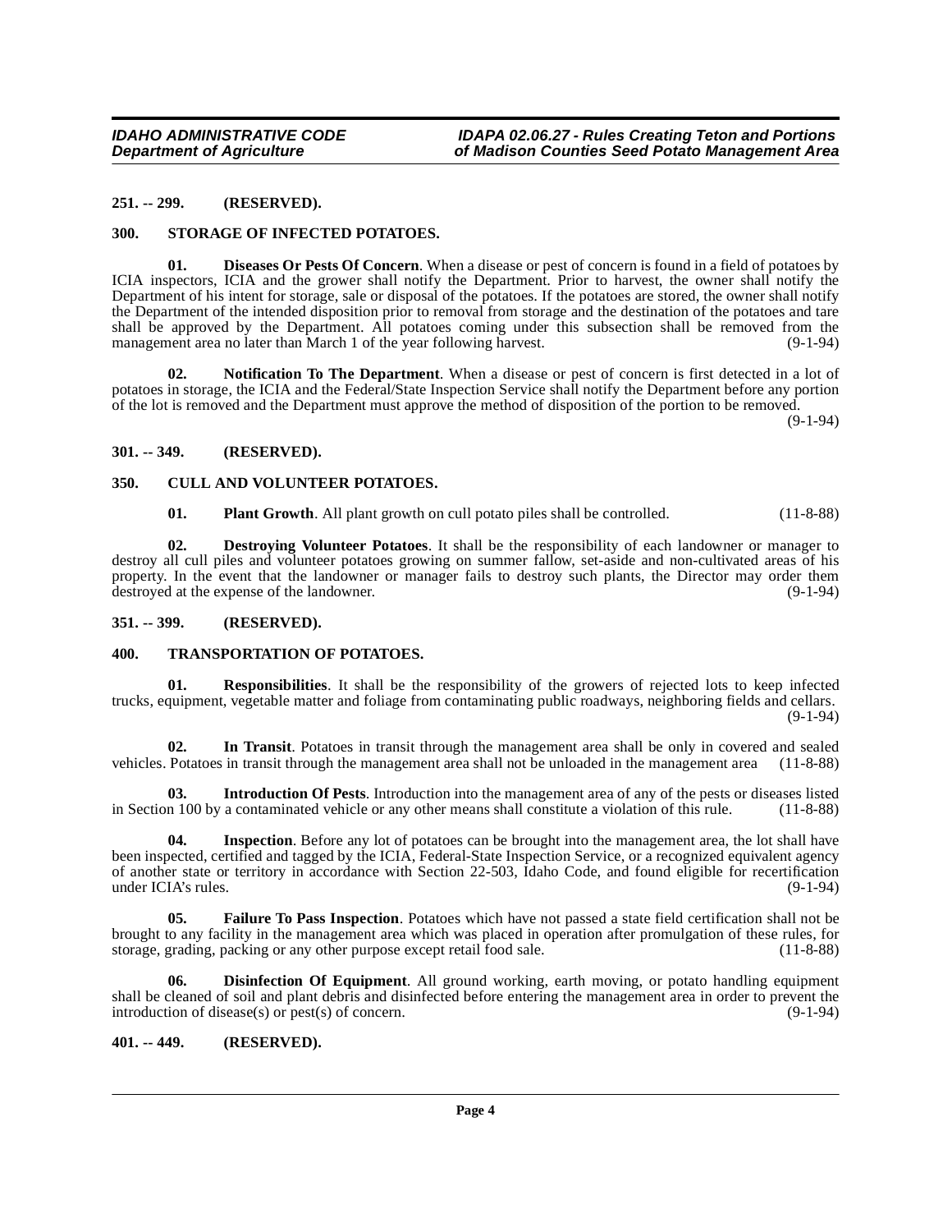#### <span id="page-3-0"></span>**251. -- 299. (RESERVED).**

#### <span id="page-3-18"></span><span id="page-3-9"></span><span id="page-3-1"></span>**300. STORAGE OF INFECTED POTATOES.**

**01. Diseases Or Pests Of Concern**. When a disease or pest of concern is found in a field of potatoes by ICIA inspectors, ICIA and the grower shall notify the Department. Prior to harvest, the owner shall notify the Department of his intent for storage, sale or disposal of the potatoes. If the potatoes are stored, the owner shall notify the Department of the intended disposition prior to removal from storage and the destination of the potatoes and tare shall be approved by the Department. All potatoes coming under this subsection shall be removed from the management area no later than March 1 of the year following harvest. (9-1-94)

<span id="page-3-15"></span>**02. Notification To The Department**. When a disease or pest of concern is first detected in a lot of potatoes in storage, the ICIA and the Federal/State Inspection Service shall notify the Department before any portion of the lot is removed and the Department must approve the method of disposition of the portion to be removed.

(9-1-94)

#### <span id="page-3-2"></span>**301. -- 349. (RESERVED).**

#### <span id="page-3-3"></span>**350. CULL AND VOLUNTEER POTATOES.**

<span id="page-3-16"></span><span id="page-3-8"></span><span id="page-3-7"></span>**01. Plant Growth**. All plant growth on cull potato piles shall be controlled. (11-8-88)

**02. Destroying Volunteer Potatoes**. It shall be the responsibility of each landowner or manager to destroy all cull piles and volunteer potatoes growing on summer fallow, set-aside and non-cultivated areas of his property. In the event that the landowner or manager fails to destroy such plants, the Director may order them destroyed at the expense of the landowner. (9-1-94) destroyed at the expense of the landowner.

#### <span id="page-3-4"></span>**351. -- 399. (RESERVED).**

#### <span id="page-3-19"></span><span id="page-3-5"></span>**400. TRANSPORTATION OF POTATOES.**

<span id="page-3-17"></span>**Responsibilities**. It shall be the responsibility of the growers of rejected lots to keep infected trucks, equipment, vegetable matter and foliage from contaminating public roadways, neighboring fields and cellars. (9-1-94)

<span id="page-3-12"></span>**02. In Transit**. Potatoes in transit through the management area shall be only in covered and sealed vehicles. Potatoes in transit through the management area shall not be unloaded in the management area (11-8-88)

<span id="page-3-14"></span>**03. Introduction Of Pests**. Introduction into the management area of any of the pests or diseases listed in Section 100 by a contaminated vehicle or any other means shall constitute a violation of this rule. (11-8-88)

<span id="page-3-13"></span>**04. Inspection**. Before any lot of potatoes can be brought into the management area, the lot shall have been inspected, certified and tagged by the ICIA, Federal-State Inspection Service, or a recognized equivalent agency of another state or territory in accordance with Section 22-503, Idaho Code, and found eligible for recertification under ICIA's rules.

<span id="page-3-11"></span>**Failure To Pass Inspection**. Potatoes which have not passed a state field certification shall not be brought to any facility in the management area which was placed in operation after promulgation of these rules, for storage, grading, packing or any other purpose except retail food sale. (11-8-88) storage, grading, packing or any other purpose except retail food sale.

<span id="page-3-10"></span>**Disinfection Of Equipment**. All ground working, earth moving, or potato handling equipment shall be cleaned of soil and plant debris and disinfected before entering the management area in order to prevent the introduction of disease(s) or pest(s) of concern. introduction of disease $(s)$  or pest $(s)$  of concern.

<span id="page-3-6"></span>**401. -- 449. (RESERVED).**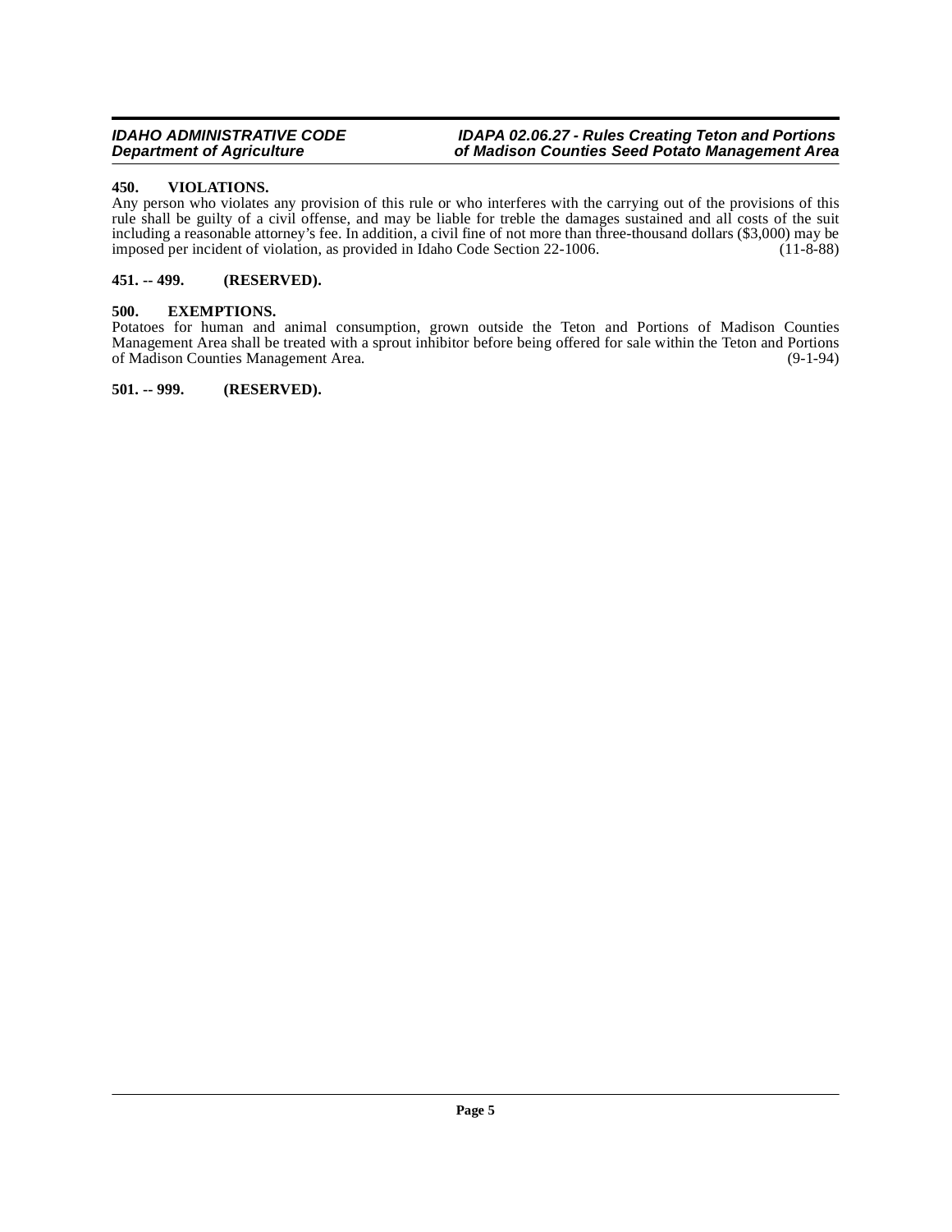#### <span id="page-4-5"></span><span id="page-4-0"></span>**450. VIOLATIONS.**

Any person who violates any provision of this rule or who interferes with the carrying out of the provisions of this rule shall be guilty of a civil offense, and may be liable for treble the damages sustained and all costs of the suit including a reasonable attorney's fee. In addition, a civil fine of not more than three-thousand dollars (\$3,000) may be imposed per incident of violation, as provided in Idaho Code Section 22-1006. (11-8-88)

#### <span id="page-4-1"></span>**451. -- 499. (RESERVED).**

#### <span id="page-4-4"></span><span id="page-4-2"></span>**500. EXEMPTIONS.**

Potatoes for human and animal consumption, grown outside the Teton and Portions of Madison Counties Management Area shall be treated with a sprout inhibitor before being offered for sale within the Teton and Portions of Madison Counties Management Area. (9-1-94) of Madison Counties Management Area.

<span id="page-4-3"></span>**501. -- 999. (RESERVED).**